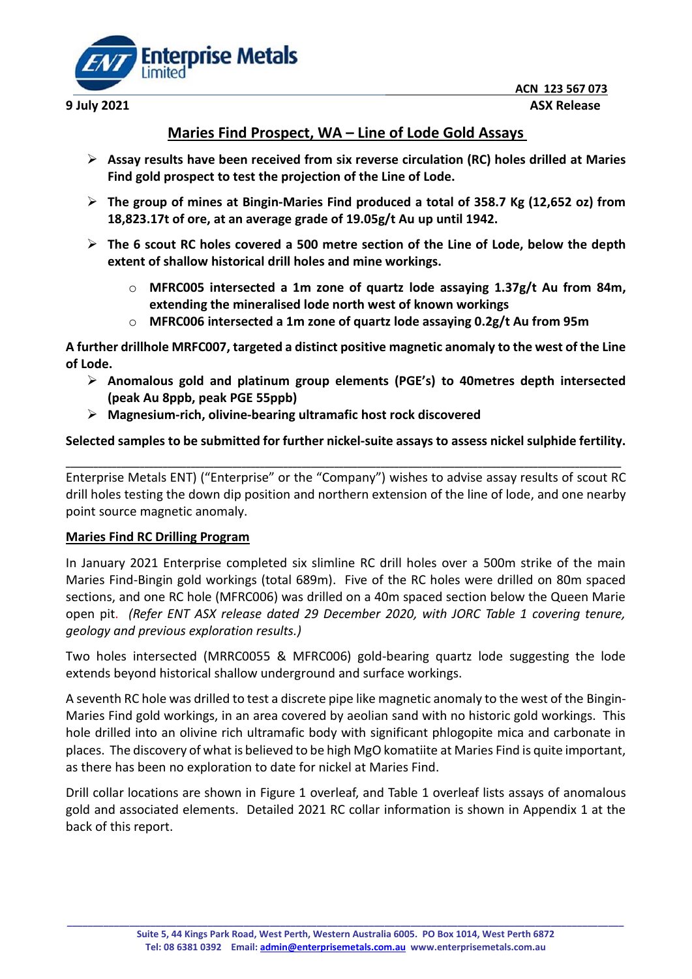

### **9 July 2021 ASX Release**

## **Maries Find Prospect, WA – Line of Lode Gold Assays**

- ➢ **Assay results have been received from six reverse circulation (RC) holes drilled at Maries Find gold prospect to test the projection of the Line of Lode.**
- ➢ **The group of mines at Bingin-Maries Find produced a total of 358.7 Kg (12,652 oz) from 18,823.17t of ore, at an average grade of 19.05g/t Au up until 1942.**
- ➢ **The 6 scout RC holes covered a 500 metre section of the Line of Lode, below the depth extent of shallow historical drill holes and mine workings.**
	- o **MFRC005 intersected a 1m zone of quartz lode assaying 1.37g/t Au from 84m, extending the mineralised lode north west of known workings**
	- o **MFRC006 intersected a 1m zone of quartz lode assaying 0.2g/t Au from 95m**

**A further drillhole MRFC007, targeted a distinct positive magnetic anomaly to the west of the Line of Lode.**

- ➢ **Anomalous gold and platinum group elements (PGE's) to 40metres depth intersected (peak Au 8ppb, peak PGE 55ppb)**
- ➢ **Magnesium-rich, olivine-bearing ultramafic host rock discovered**

### **Selected samples to be submitted for further nickel-suite assays to assess nickel sulphide fertility.**

**\_\_\_\_\_\_\_\_\_\_\_\_\_\_\_\_\_\_\_\_\_\_\_\_\_\_\_\_\_\_\_\_\_\_\_\_\_\_\_\_\_\_\_\_\_\_\_\_\_\_\_\_\_\_\_\_\_\_\_\_\_\_\_\_\_\_\_\_\_\_\_\_\_\_\_\_\_\_\_\_\_\_\_\_\_\_\_\_\_\_\_\_\_\_\_\_\_\_\_\_\_\_\_\_\_\_\_\_\_\_\_\_\_\_\_\_\_\_\_\_**

Enterprise Metals ENT) ("Enterprise" or the "Company") wishes to advise assay results of scout RC drill holes testing the down dip position and northern extension of the line of lode, and one nearby point source magnetic anomaly.

### **Maries Find RC Drilling Program**

In January 2021 Enterprise completed six slimline RC drill holes over a 500m strike of the main Maries Find-Bingin gold workings (total 689m). Five of the RC holes were drilled on 80m spaced sections, and one RC hole (MFRC006) was drilled on a 40m spaced section below the Queen Marie open pit. *(Refer ENT ASX release dated 29 December 2020, with JORC Table 1 covering tenure, geology and previous exploration results.)*

Two holes intersected (MRRC0055 & MFRC006) gold-bearing quartz lode suggesting the lode extends beyond historical shallow underground and surface workings.

A seventh RC hole was drilled to test a discrete pipe like magnetic anomaly to the west of the Bingin-Maries Find gold workings, in an area covered by aeolian sand with no historic gold workings. This hole drilled into an olivine rich ultramafic body with significant phlogopite mica and carbonate in places. The discovery of what is believed to be high MgO komatiite at Maries Find is quite important, as there has been no exploration to date for nickel at Maries Find.

Drill collar locations are shown in Figure 1 overleaf, and Table 1 overleaf lists assays of anomalous gold and associated elements. Detailed 2021 RC collar information is shown in Appendix 1 at the back of this report.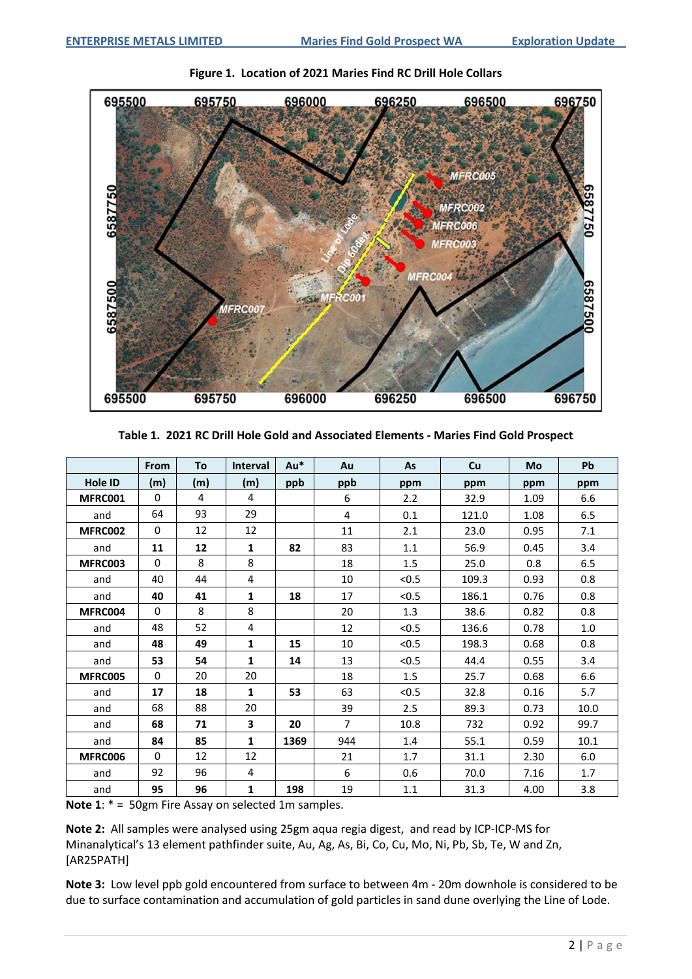

**Figure 1. Location of 2021 Maries Find RC Drill Hole Collars**

**Table 1. 2021 RC Drill Hole Gold and Associated Elements - Maries Find Gold Prospect**

|                | From         | To  | <b>Interval</b> | Au*  | Au             | As    | Cu    | Mo   | Pb   |
|----------------|--------------|-----|-----------------|------|----------------|-------|-------|------|------|
| <b>Hole ID</b> | (m)          | (m) | (m)             | ppb  | ppb            | ppm   | ppm   | ppm  | ppm  |
| MFRC001        | 0            | 4   | 4               |      | 6              | 2.2   | 32.9  | 1.09 | 6.6  |
| and            | 64           | 93  | 29              |      | 4              | 0.1   | 121.0 | 1.08 | 6.5  |
| MFRC002        | 0            | 12  | 12              |      | 11             | 2.1   | 23.0  | 0.95 | 7.1  |
| and            | 11           | 12  | 1               | 82   | 83             | 1.1   | 56.9  | 0.45 | 3.4  |
| MFRC003        | $\mathbf{0}$ | 8   | 8               |      | 18             | 1.5   | 25.0  | 0.8  | 6.5  |
| and            | 40           | 44  | 4               |      | 10             | < 0.5 | 109.3 | 0.93 | 0.8  |
| and            | 40           | 41  | 1               | 18   | 17             | < 0.5 | 186.1 | 0.76 | 0.8  |
| MFRC004        | $\Omega$     | 8   | 8               |      | 20             | 1.3   | 38.6  | 0.82 | 0.8  |
| and            | 48           | 52  | 4               |      | 12             | < 0.5 | 136.6 | 0.78 | 1.0  |
| and            | 48           | 49  | $\mathbf{1}$    | 15   | 10             | < 0.5 | 198.3 | 0.68 | 0.8  |
| and            | 53           | 54  | 1               | 14   | 13             | < 0.5 | 44.4  | 0.55 | 3.4  |
| MFRC005        | 0            | 20  | 20              |      | 18             | 1.5   | 25.7  | 0.68 | 6.6  |
| and            | 17           | 18  | $\mathbf{1}$    | 53   | 63             | < 0.5 | 32.8  | 0.16 | 5.7  |
| and            | 68           | 88  | 20              |      | 39             | 2.5   | 89.3  | 0.73 | 10.0 |
| and            | 68           | 71  | 3               | 20   | $\overline{7}$ | 10.8  | 732   | 0.92 | 99.7 |
| and            | 84           | 85  | $\mathbf{1}$    | 1369 | 944            | 1.4   | 55.1  | 0.59 | 10.1 |
| MFRC006        | $\mathbf{0}$ | 12  | 12              |      | 21             | 1.7   | 31.1  | 2.30 | 6.0  |
| and            | 92           | 96  | 4               |      | 6              | 0.6   | 70.0  | 7.16 | 1.7  |
| and            | 95           | 96  | 1               | 198  | 19             | 1.1   | 31.3  | 4.00 | 3.8  |

**Note 1**: \* = 50gm Fire Assay on selected 1m samples.

**Note 2:** All samples were analysed using 25gm aqua regia digest, and read by ICP-ICP-MS for Minanalytical's 13 element pathfinder suite, Au, Ag, As, Bi, Co, Cu, Mo, Ni, Pb, Sb, Te, W and Zn, [AR25PATH]

**Note 3:** Low level ppb gold encountered from surface to between 4m - 20m downhole is considered to be due to surface contamination and accumulation of gold particles in sand dune overlying the Line of Lode.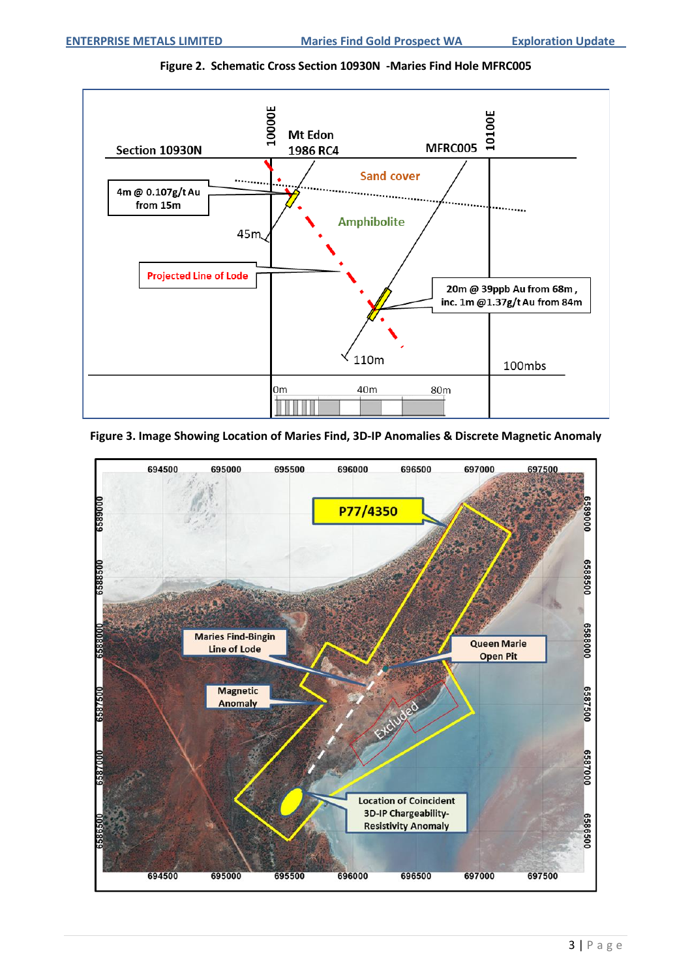



**Figure 3. Image Showing Location of Maries Find, 3D-IP Anomalies & Discrete Magnetic Anomaly**

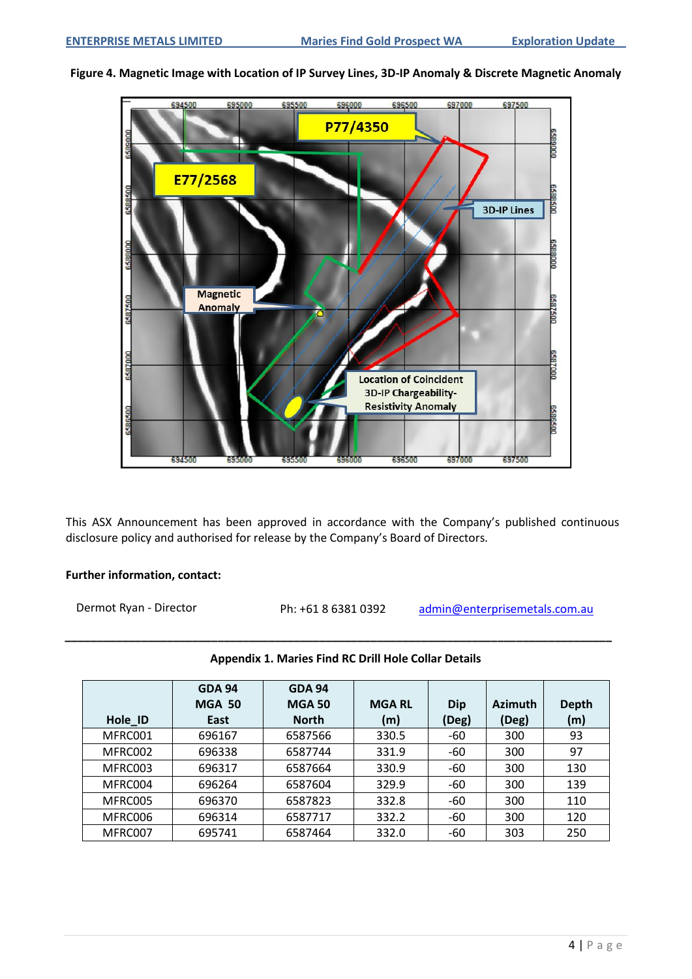**Figure 4. Magnetic Image with Location of IP Survey Lines, 3D-IP Anomaly & Discrete Magnetic Anomaly**



This ASX Announcement has been approved in accordance with the Company's published continuous disclosure policy and authorised for release by the Company's Board of Directors.

#### **Further information, contact:**

*\_\_\_\_\_\_\_\_\_\_\_\_\_\_\_\_\_\_\_\_\_\_\_\_\_\_\_\_\_\_\_\_\_\_\_\_\_\_\_\_\_\_\_\_\_\_\_\_\_\_\_\_\_\_\_\_\_\_\_\_\_\_\_\_\_\_\_\_\_\_\_\_\_\_\_\_\_\_\_\_\_\_\_\_\_\_*

Dermot Ryan - Director Ph: +61 8 6381 0392 [admin@enterprisemetals.com.a](mailto:admin@enterprisemetals.com.)u

#### **Appendix 1. Maries Find RC Drill Hole Collar Details**

| Hole_ID | <b>GDA 94</b><br><b>MGA 50</b><br>East | <b>GDA 94</b><br><b>MGA 50</b><br><b>North</b> | <b>MGA RL</b><br>(m) | <b>Dip</b><br>(Deg) | <b>Azimuth</b><br>(Deg) | <b>Depth</b><br>(m) |
|---------|----------------------------------------|------------------------------------------------|----------------------|---------------------|-------------------------|---------------------|
| MFRC001 | 696167                                 | 6587566                                        | 330.5                | -60                 | 300                     | 93                  |
| MFRC002 | 696338                                 | 6587744                                        | 331.9                | -60                 | 300                     | 97                  |
| MFRC003 | 696317                                 | 6587664                                        | 330.9                | -60                 | 300                     | 130                 |
| MFRC004 | 696264                                 | 6587604                                        | 329.9                | -60                 | 300                     | 139                 |
| MFRC005 | 696370                                 | 6587823                                        | 332.8                | -60                 | 300                     | 110                 |
| MFRC006 | 696314                                 | 6587717                                        | 332.2                | -60                 | 300                     | 120                 |
| MFRC007 | 695741                                 | 6587464                                        | 332.0                | -60                 | 303                     | 250                 |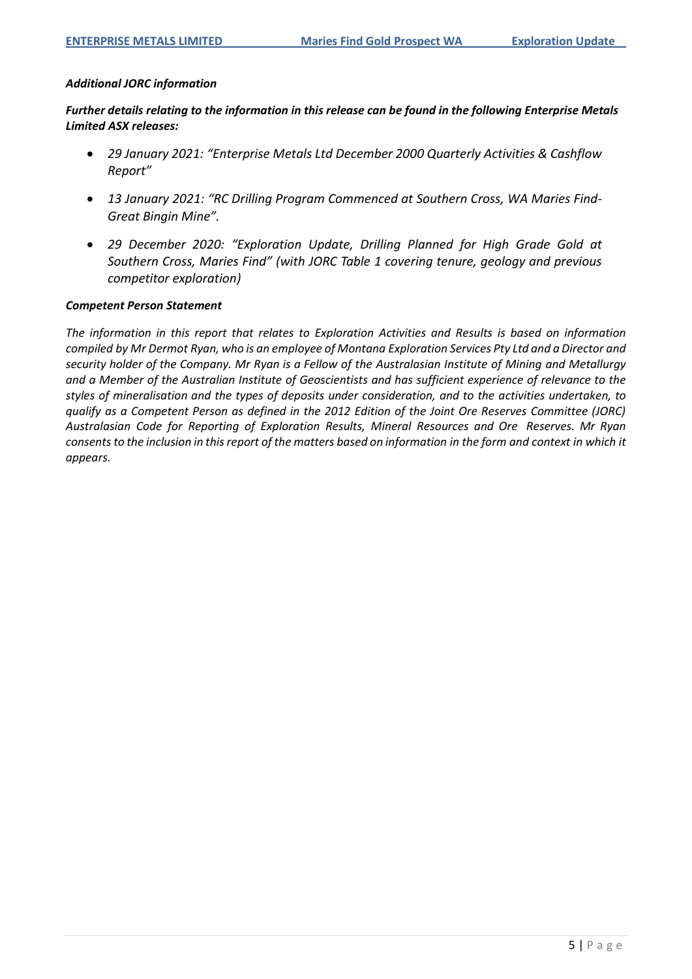#### *Additional JORC information*

*Further details relating to the information in this release can be found in the following Enterprise Metals Limited ASX releases:*

- *29 January 2021: "Enterprise Metals Ltd December 2000 Quarterly Activities & Cashflow Report"*
- *13 January 2021: "RC Drilling Program Commenced at Southern Cross, WA Maries Find-Great Bingin Mine".*
- *29 December 2020: "Exploration Update, Drilling Planned for High Grade Gold at Southern Cross, Maries Find" (with JORC Table 1 covering tenure, geology and previous competitor exploration)*

#### *Competent Person Statement*

*The information in this report that relates to Exploration Activities and Results is based on information compiled by Mr Dermot Ryan, who is an employee of Montana Exploration Services Pty Ltd and a Director and security holder of the Company. Mr Ryan is a Fellow of the Australasian Institute of Mining and Metallurgy and a Member of the Australian Institute of Geoscientists and has sufficient experience of relevance to the styles of mineralisation and the types of deposits under consideration, and to the activities undertaken, to qualify as a Competent Person as defined in the 2012 Edition of the Joint Ore Reserves Committee (JORC) Australasian Code for Reporting of Exploration Results, Mineral Resources and Ore Reserves. Mr Ryan consentsto the inclusion in thisreport of the matters based on information in the form and context in which it appears.*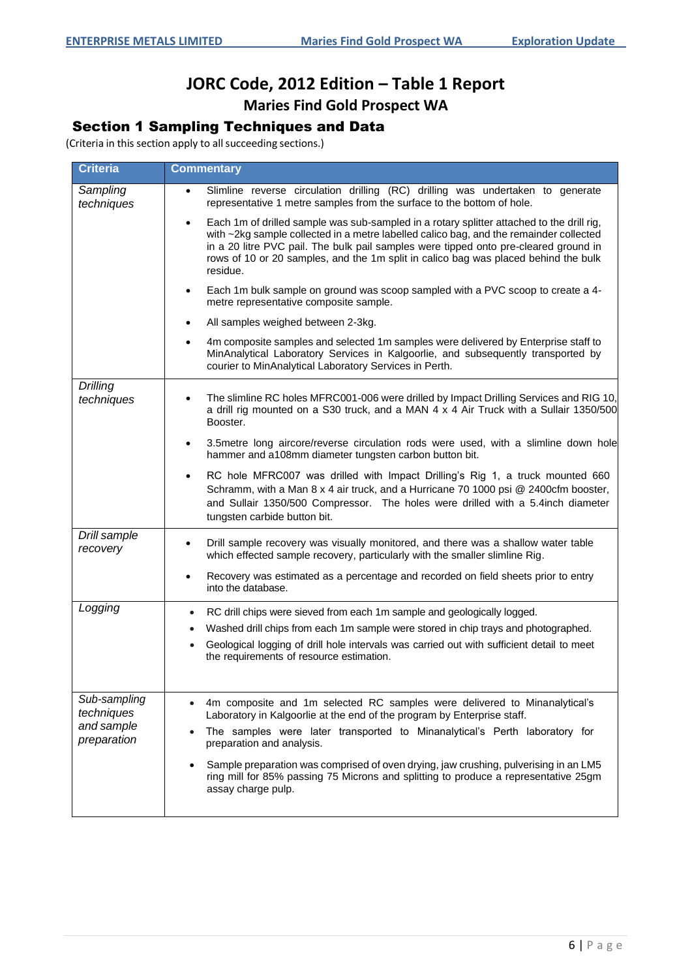# **JORC Code, 2012 Edition – Table 1 Report Maries Find Gold Prospect WA**

# Section 1 Sampling Techniques and Data

(Criteria in this section apply to all succeeding sections.)

| <b>Criteria</b>                                         | <b>Commentary</b>                                                                                                                                                                                                                                                                                                                                                                                                                                                    |
|---------------------------------------------------------|----------------------------------------------------------------------------------------------------------------------------------------------------------------------------------------------------------------------------------------------------------------------------------------------------------------------------------------------------------------------------------------------------------------------------------------------------------------------|
| Sampling<br>techniques                                  | Slimline reverse circulation drilling (RC) drilling was undertaken to generate<br>$\bullet$<br>representative 1 metre samples from the surface to the bottom of hole.                                                                                                                                                                                                                                                                                                |
|                                                         | Each 1m of drilled sample was sub-sampled in a rotary splitter attached to the drill rig,<br>$\bullet$<br>with ~2kg sample collected in a metre labelled calico bag, and the remainder collected<br>in a 20 litre PVC pail. The bulk pail samples were tipped onto pre-cleared ground in<br>rows of 10 or 20 samples, and the 1m split in calico bag was placed behind the bulk<br>residue.                                                                          |
|                                                         | Each 1m bulk sample on ground was scoop sampled with a PVC scoop to create a 4-<br>$\bullet$<br>metre representative composite sample.                                                                                                                                                                                                                                                                                                                               |
|                                                         | All samples weighed between 2-3kg.<br>$\bullet$                                                                                                                                                                                                                                                                                                                                                                                                                      |
|                                                         | 4m composite samples and selected 1m samples were delivered by Enterprise staff to<br>$\bullet$<br>MinAnalytical Laboratory Services in Kalgoorlie, and subsequently transported by<br>courier to MinAnalytical Laboratory Services in Perth.                                                                                                                                                                                                                        |
| Drilling<br>techniques                                  | The slimline RC holes MFRC001-006 were drilled by Impact Drilling Services and RIG 10,<br>$\bullet$<br>a drill rig mounted on a S30 truck, and a MAN 4 x 4 Air Truck with a Sullair 1350/500<br>Booster.                                                                                                                                                                                                                                                             |
|                                                         | 3.5metre long aircore/reverse circulation rods were used, with a slimline down hole<br>$\bullet$<br>hammer and a108mm diameter tungsten carbon button bit.                                                                                                                                                                                                                                                                                                           |
|                                                         | RC hole MFRC007 was drilled with Impact Drilling's Rig 1, a truck mounted 660<br>$\bullet$<br>Schramm, with a Man 8 x 4 air truck, and a Hurricane 70 1000 psi @ 2400cfm booster,<br>and Sullair 1350/500 Compressor. The holes were drilled with a 5.4inch diameter<br>tungsten carbide button bit.                                                                                                                                                                 |
| Drill sample<br>recovery                                | Drill sample recovery was visually monitored, and there was a shallow water table<br>which effected sample recovery, particularly with the smaller slimline Rig.                                                                                                                                                                                                                                                                                                     |
|                                                         | Recovery was estimated as a percentage and recorded on field sheets prior to entry<br>$\bullet$<br>into the database.                                                                                                                                                                                                                                                                                                                                                |
| Logging                                                 | RC drill chips were sieved from each 1m sample and geologically logged.<br>$\bullet$                                                                                                                                                                                                                                                                                                                                                                                 |
|                                                         | Washed drill chips from each 1m sample were stored in chip trays and photographed.<br>٠                                                                                                                                                                                                                                                                                                                                                                              |
|                                                         | Geological logging of drill hole intervals was carried out with sufficient detail to meet<br>$\bullet$<br>the requirements of resource estimation.                                                                                                                                                                                                                                                                                                                   |
| Sub-sampling<br>techniques<br>and sample<br>preparation | 4m composite and 1m selected RC samples were delivered to Minanalytical's<br>Laboratory in Kalgoorlie at the end of the program by Enterprise staff.<br>The samples were later transported to Minanalytical's Perth laboratory for<br>preparation and analysis.<br>Sample preparation was comprised of oven drying, jaw crushing, pulverising in an LM5<br>ring mill for 85% passing 75 Microns and splitting to produce a representative 25gm<br>assay charge pulp. |
|                                                         |                                                                                                                                                                                                                                                                                                                                                                                                                                                                      |

W and Zn, [AR25PATH]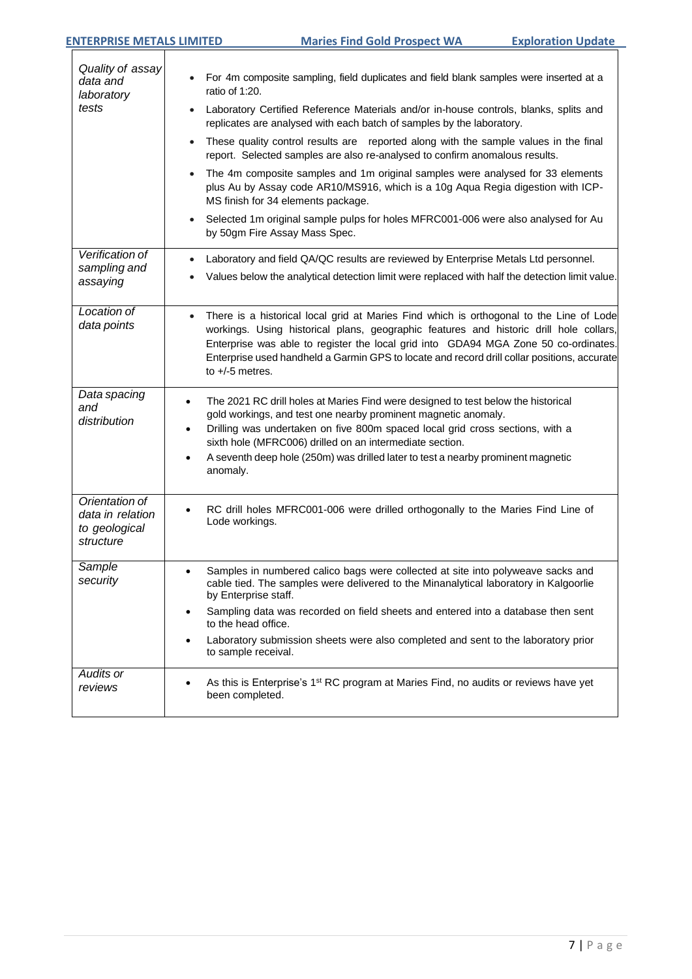| ເບບເວ                                                            | Laboratory Centried Reference Materials and/or in-nouse controls, blanks, spills and<br>replicates are analysed with each batch of samples by the laboratory.                                                                                                                                                                                                                                    |
|------------------------------------------------------------------|--------------------------------------------------------------------------------------------------------------------------------------------------------------------------------------------------------------------------------------------------------------------------------------------------------------------------------------------------------------------------------------------------|
|                                                                  | These quality control results are reported along with the sample values in the final<br>report. Selected samples are also re-analysed to confirm anomalous results.                                                                                                                                                                                                                              |
|                                                                  | The 4m composite samples and 1m original samples were analysed for 33 elements<br>plus Au by Assay code AR10/MS916, which is a 10g Aqua Regia digestion with ICP-<br>MS finish for 34 elements package.                                                                                                                                                                                          |
|                                                                  | Selected 1m original sample pulps for holes MFRC001-006 were also analysed for Au<br>$\bullet$<br>by 50gm Fire Assay Mass Spec.                                                                                                                                                                                                                                                                  |
| Verification of<br>sampling and<br>assaying                      | Laboratory and field QA/QC results are reviewed by Enterprise Metals Ltd personnel.<br>$\bullet$<br>Values below the analytical detection limit were replaced with half the detection limit value.                                                                                                                                                                                               |
| Location of<br>data points                                       | There is a historical local grid at Maries Find which is orthogonal to the Line of Lode<br>workings. Using historical plans, geographic features and historic drill hole collars,<br>Enterprise was able to register the local grid into GDA94 MGA Zone 50 co-ordinates.<br>Enterprise used handheld a Garmin GPS to locate and record drill collar positions, accurate<br>to $+/-5$ metres.     |
| Data spacing<br>and<br>distribution                              | The 2021 RC drill holes at Maries Find were designed to test below the historical<br>gold workings, and test one nearby prominent magnetic anomaly.<br>Drilling was undertaken on five 800m spaced local grid cross sections, with a<br>sixth hole (MFRC006) drilled on an intermediate section.<br>A seventh deep hole (250m) was drilled later to test a nearby prominent magnetic<br>anomaly. |
| Orientation of<br>data in relation<br>to geological<br>structure | RC drill holes MFRC001-006 were drilled orthogonally to the Maries Find Line of<br>$\bullet$<br>Lode workings.                                                                                                                                                                                                                                                                                   |
| Sample<br>security                                               | Samples in numbered calico bags were collected at site into polyweave sacks and<br>$\bullet$<br>cable tied. The samples were delivered to the Minanalytical laboratory in Kalgoorlie<br>by Enterprise staff.                                                                                                                                                                                     |
|                                                                  | Sampling data was recorded on field sheets and entered into a database then sent<br>to the head office.                                                                                                                                                                                                                                                                                          |
|                                                                  | Laboratory submission sheets were also completed and sent to the laboratory prior<br>to sample receival.                                                                                                                                                                                                                                                                                         |
| <b>Audits or</b><br>reviews                                      | As this is Enterprise's 1 <sup>st</sup> RC program at Maries Find, no audits or reviews have yet<br>been completed.                                                                                                                                                                                                                                                                              |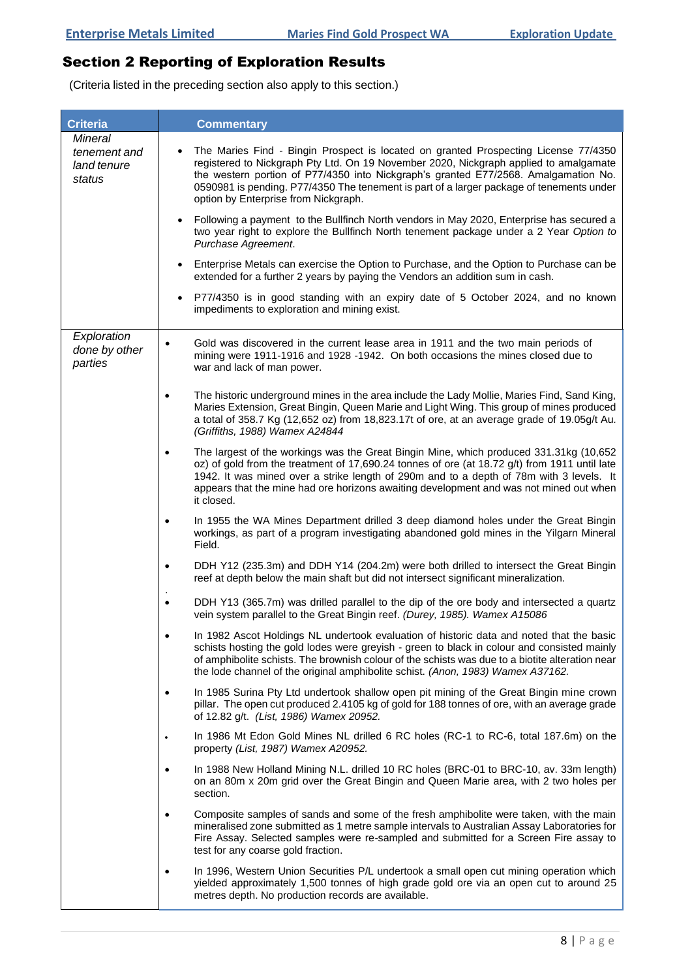# Section 2 Reporting of Exploration Results

(Criteria listed in the preceding section also apply to this section.)

| <b>Criteria</b>                                  | <b>Commentary</b>                                                                                                                                                                                                                                                                                                                                                                                       |
|--------------------------------------------------|---------------------------------------------------------------------------------------------------------------------------------------------------------------------------------------------------------------------------------------------------------------------------------------------------------------------------------------------------------------------------------------------------------|
| Mineral<br>tenement and<br>land tenure<br>status | The Maries Find - Bingin Prospect is located on granted Prospecting License 77/4350<br>registered to Nickgraph Pty Ltd. On 19 November 2020, Nickgraph applied to amalgamate<br>the western portion of P77/4350 into Nickgraph's granted E77/2568. Amalgamation No.<br>0590981 is pending. P77/4350 The tenement is part of a larger package of tenements under<br>option by Enterprise from Nickgraph. |
|                                                  | Following a payment to the Bullfinch North vendors in May 2020, Enterprise has secured a<br>two year right to explore the Bullfinch North tenement package under a 2 Year Option to<br>Purchase Agreement.                                                                                                                                                                                              |
|                                                  | Enterprise Metals can exercise the Option to Purchase, and the Option to Purchase can be<br>extended for a further 2 years by paying the Vendors an addition sum in cash.                                                                                                                                                                                                                               |
|                                                  | P77/4350 is in good standing with an expiry date of 5 October 2024, and no known<br>impediments to exploration and mining exist.                                                                                                                                                                                                                                                                        |
| Exploration<br>done by other<br>parties          | Gold was discovered in the current lease area in 1911 and the two main periods of<br>mining were 1911-1916 and 1928 -1942. On both occasions the mines closed due to<br>war and lack of man power.                                                                                                                                                                                                      |
|                                                  | The historic underground mines in the area include the Lady Mollie, Maries Find, Sand King,<br>Maries Extension, Great Bingin, Queen Marie and Light Wing. This group of mines produced<br>a total of 358.7 Kg (12,652 oz) from 18,823.17t of ore, at an average grade of 19.05g/t Au.<br>(Griffiths, 1988) Wamex A24844                                                                                |
|                                                  | The largest of the workings was the Great Bingin Mine, which produced 331.31kg (10,652<br>oz) of gold from the treatment of 17,690.24 tonnes of ore (at 18.72 g/t) from 1911 until late<br>1942. It was mined over a strike length of 290m and to a depth of 78m with 3 levels. It<br>appears that the mine had ore horizons awaiting development and was not mined out when<br>it closed.              |
|                                                  | In 1955 the WA Mines Department drilled 3 deep diamond holes under the Great Bingin<br>workings, as part of a program investigating abandoned gold mines in the Yilgarn Mineral<br>Field.                                                                                                                                                                                                               |
|                                                  | DDH Y12 (235.3m) and DDH Y14 (204.2m) were both drilled to intersect the Great Bingin<br>$\bullet$<br>reef at depth below the main shaft but did not intersect significant mineralization.                                                                                                                                                                                                              |
|                                                  | DDH Y13 (365.7m) was drilled parallel to the dip of the ore body and intersected a quartz<br>$\bullet$<br>vein system parallel to the Great Bingin reef. (Durey, 1985). Wamex A15086                                                                                                                                                                                                                    |
|                                                  | In 1982 Ascot Holdings NL undertook evaluation of historic data and noted that the basic<br>schists hosting the gold lodes were greyish - green to black in colour and consisted mainly<br>of amphibolite schists. The brownish colour of the schists was due to a biotite alteration near<br>the lode channel of the original amphibolite schist. (Anon, 1983) Wamex A37162.                           |
|                                                  | In 1985 Surina Pty Ltd undertook shallow open pit mining of the Great Bingin mine crown<br>pillar. The open cut produced 2.4105 kg of gold for 188 tonnes of ore, with an average grade<br>of 12.82 g/t. (List, 1986) Wamex 20952.                                                                                                                                                                      |
|                                                  | In 1986 Mt Edon Gold Mines NL drilled 6 RC holes (RC-1 to RC-6, total 187.6m) on the<br>property (List, 1987) Wamex A20952.                                                                                                                                                                                                                                                                             |
|                                                  | In 1988 New Holland Mining N.L. drilled 10 RC holes (BRC-01 to BRC-10, av. 33m length)<br>on an 80m x 20m grid over the Great Bingin and Queen Marie area, with 2 two holes per<br>section.                                                                                                                                                                                                             |
|                                                  | Composite samples of sands and some of the fresh amphibolite were taken, with the main<br>٠<br>mineralised zone submitted as 1 metre sample intervals to Australian Assay Laboratories for<br>Fire Assay. Selected samples were re-sampled and submitted for a Screen Fire assay to<br>test for any coarse gold fraction.                                                                               |
|                                                  | In 1996, Western Union Securities P/L undertook a small open cut mining operation which<br>$\bullet$<br>yielded approximately 1,500 tonnes of high grade gold ore via an open cut to around 25<br>metres depth. No production records are available.                                                                                                                                                    |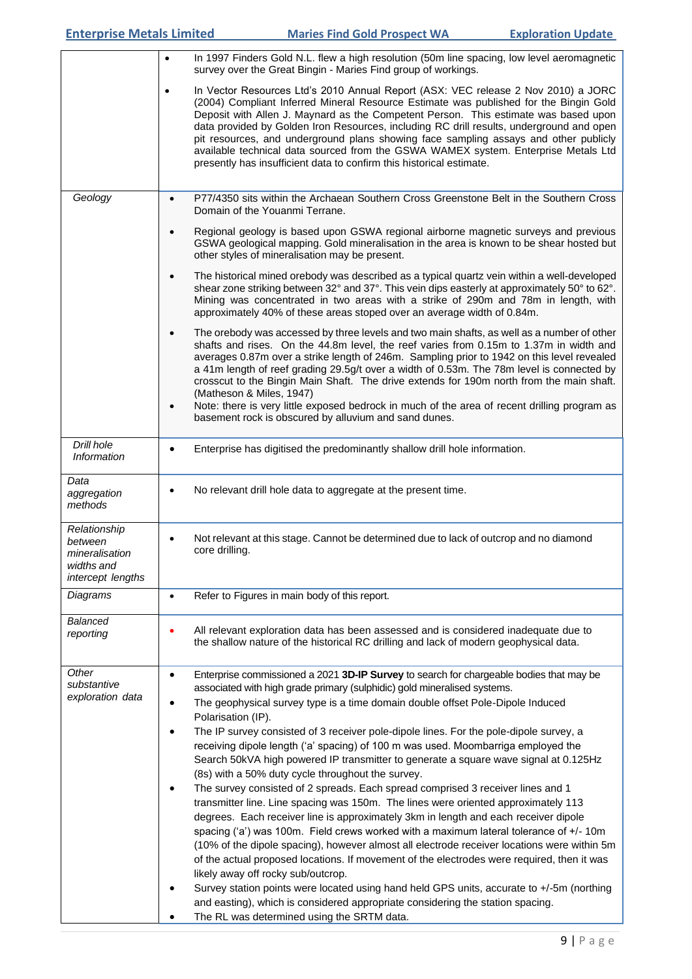|                                                                              | In 1997 Finders Gold N.L. flew a high resolution (50m line spacing, low level aeromagnetic<br>$\bullet$<br>survey over the Great Bingin - Maries Find group of workings.                                                                                                                                                                                                                                                                                                                                                                                                                                                                                                                                                                                                                                                                                                                                                                                                                                                                                                                                                                                                                                                                                                                                                                                                                                                                                                                   |
|------------------------------------------------------------------------------|--------------------------------------------------------------------------------------------------------------------------------------------------------------------------------------------------------------------------------------------------------------------------------------------------------------------------------------------------------------------------------------------------------------------------------------------------------------------------------------------------------------------------------------------------------------------------------------------------------------------------------------------------------------------------------------------------------------------------------------------------------------------------------------------------------------------------------------------------------------------------------------------------------------------------------------------------------------------------------------------------------------------------------------------------------------------------------------------------------------------------------------------------------------------------------------------------------------------------------------------------------------------------------------------------------------------------------------------------------------------------------------------------------------------------------------------------------------------------------------------|
|                                                                              | In Vector Resources Ltd's 2010 Annual Report (ASX: VEC release 2 Nov 2010) a JORC<br>$\bullet$<br>(2004) Compliant Inferred Mineral Resource Estimate was published for the Bingin Gold<br>Deposit with Allen J. Maynard as the Competent Person. This estimate was based upon<br>data provided by Golden Iron Resources, including RC drill results, underground and open<br>pit resources, and underground plans showing face sampling assays and other publicly<br>available technical data sourced from the GSWA WAMEX system. Enterprise Metals Ltd<br>presently has insufficient data to confirm this historical estimate.                                                                                                                                                                                                                                                                                                                                                                                                                                                                                                                                                                                                                                                                                                                                                                                                                                                           |
| Geology                                                                      | P77/4350 sits within the Archaean Southern Cross Greenstone Belt in the Southern Cross<br>$\bullet$<br>Domain of the Youanmi Terrane.                                                                                                                                                                                                                                                                                                                                                                                                                                                                                                                                                                                                                                                                                                                                                                                                                                                                                                                                                                                                                                                                                                                                                                                                                                                                                                                                                      |
|                                                                              | Regional geology is based upon GSWA regional airborne magnetic surveys and previous<br>$\bullet$<br>GSWA geological mapping. Gold mineralisation in the area is known to be shear hosted but<br>other styles of mineralisation may be present.                                                                                                                                                                                                                                                                                                                                                                                                                                                                                                                                                                                                                                                                                                                                                                                                                                                                                                                                                                                                                                                                                                                                                                                                                                             |
|                                                                              | The historical mined orebody was described as a typical quartz vein within a well-developed<br>$\bullet$<br>shear zone striking between 32° and 37°. This vein dips easterly at approximately 50° to 62°.<br>Mining was concentrated in two areas with a strike of 290m and 78m in length, with<br>approximately 40% of these areas stoped over an average width of 0.84m.                                                                                                                                                                                                                                                                                                                                                                                                                                                                                                                                                                                                                                                                                                                                                                                                                                                                                                                                                                                                                                                                                                                 |
|                                                                              | The orebody was accessed by three levels and two main shafts, as well as a number of other<br>$\bullet$<br>shafts and rises. On the 44.8m level, the reef varies from 0.15m to 1.37m in width and<br>averages 0.87m over a strike length of 246m. Sampling prior to 1942 on this level revealed<br>a 41m length of reef grading 29.5g/t over a width of 0.53m. The 78m level is connected by<br>crosscut to the Bingin Main Shaft. The drive extends for 190m north from the main shaft.<br>(Matheson & Miles, 1947)                                                                                                                                                                                                                                                                                                                                                                                                                                                                                                                                                                                                                                                                                                                                                                                                                                                                                                                                                                       |
|                                                                              | Note: there is very little exposed bedrock in much of the area of recent drilling program as<br>٠<br>basement rock is obscured by alluvium and sand dunes.                                                                                                                                                                                                                                                                                                                                                                                                                                                                                                                                                                                                                                                                                                                                                                                                                                                                                                                                                                                                                                                                                                                                                                                                                                                                                                                                 |
| Drill hole<br>Information                                                    | Enterprise has digitised the predominantly shallow drill hole information.<br>$\bullet$                                                                                                                                                                                                                                                                                                                                                                                                                                                                                                                                                                                                                                                                                                                                                                                                                                                                                                                                                                                                                                                                                                                                                                                                                                                                                                                                                                                                    |
| Data<br>aggregation<br>methods                                               | No relevant drill hole data to aggregate at the present time.<br>$\bullet$                                                                                                                                                                                                                                                                                                                                                                                                                                                                                                                                                                                                                                                                                                                                                                                                                                                                                                                                                                                                                                                                                                                                                                                                                                                                                                                                                                                                                 |
| Relationship<br>between<br>mineralisation<br>widths and<br>intercept lengths | Not relevant at this stage. Cannot be determined due to lack of outcrop and no diamond<br>$\bullet$<br>core drilling.                                                                                                                                                                                                                                                                                                                                                                                                                                                                                                                                                                                                                                                                                                                                                                                                                                                                                                                                                                                                                                                                                                                                                                                                                                                                                                                                                                      |
| Diagrams                                                                     | Refer to Figures in main body of this report.<br>$\bullet$                                                                                                                                                                                                                                                                                                                                                                                                                                                                                                                                                                                                                                                                                                                                                                                                                                                                                                                                                                                                                                                                                                                                                                                                                                                                                                                                                                                                                                 |
| Balanced<br>reporting                                                        | All relevant exploration data has been assessed and is considered inadequate due to<br>۰<br>the shallow nature of the historical RC drilling and lack of modern geophysical data.                                                                                                                                                                                                                                                                                                                                                                                                                                                                                                                                                                                                                                                                                                                                                                                                                                                                                                                                                                                                                                                                                                                                                                                                                                                                                                          |
| Other<br>substantive<br>exploration data                                     | Enterprise commissioned a 2021 3D-IP Survey to search for chargeable bodies that may be<br>$\bullet$<br>associated with high grade primary (sulphidic) gold mineralised systems.<br>The geophysical survey type is a time domain double offset Pole-Dipole Induced<br>$\bullet$<br>Polarisation (IP).<br>The IP survey consisted of 3 receiver pole-dipole lines. For the pole-dipole survey, a<br>$\bullet$<br>receiving dipole length ('a' spacing) of 100 m was used. Moombarriga employed the<br>Search 50kVA high powered IP transmitter to generate a square wave signal at 0.125Hz<br>(8s) with a 50% duty cycle throughout the survey.<br>The survey consisted of 2 spreads. Each spread comprised 3 receiver lines and 1<br>$\bullet$<br>transmitter line. Line spacing was 150m. The lines were oriented approximately 113<br>degrees. Each receiver line is approximately 3km in length and each receiver dipole<br>spacing ('a') was 100m. Field crews worked with a maximum lateral tolerance of +/- 10m<br>(10% of the dipole spacing), however almost all electrode receiver locations were within 5m<br>of the actual proposed locations. If movement of the electrodes were required, then it was<br>likely away off rocky sub/outcrop.<br>Survey station points were located using hand held GPS units, accurate to +/-5m (northing<br>٠<br>and easting), which is considered appropriate considering the station spacing.<br>The RL was determined using the SRTM data. |